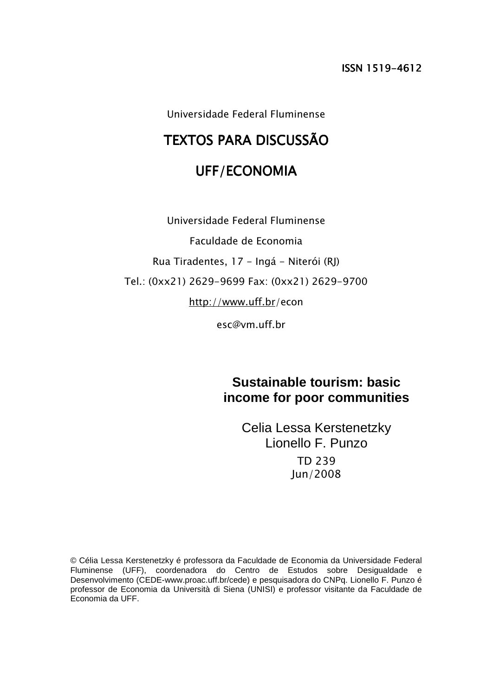Universidade Federal Fluminense

# TEXTOS PARA DISCUSSÃO

# UFF/ECONOMIA

Universidade Federal Fluminense Faculdade de Economia Rua Tiradentes, 17 - Ingá - Niterói (RJ) Tel.: (0xx21) 2629-9699 Fax: (0xx21) 2629-9700 http://www.uff.br/econ

esc@vm.uff.br

**Sustainable tourism: basic income for poor communities** 

Celia Lessa Kerstenetzky Lionello F. Punzo TD 239 Jun/2008

© Célia Lessa Kerstenetzky é professora da Faculdade de Economia da Universidade Federal Fluminense (UFF), coordenadora do Centro de Estudos sobre Desigualdade e Desenvolvimento (CEDE-www.proac.uff.br/cede) e pesquisadora do CNPq. Lionello F. Punzo é professor de Economia da Università di Siena (UNISI) e professor visitante da Faculdade de Economia da UFF.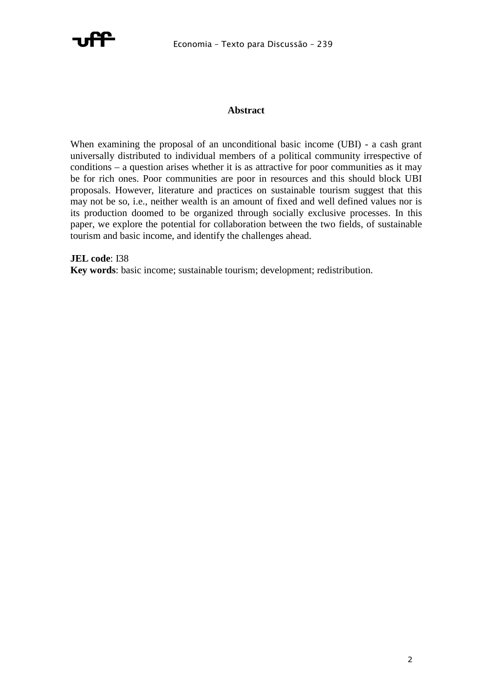

### **Abstract**

When examining the proposal of an unconditional basic income (UBI) - a cash grant universally distributed to individual members of a political community irrespective of conditions – a question arises whether it is as attractive for poor communities as it may be for rich ones. Poor communities are poor in resources and this should block UBI proposals. However, literature and practices on sustainable tourism suggest that this may not be so, i.e., neither wealth is an amount of fixed and well defined values nor is its production doomed to be organized through socially exclusive processes. In this paper, we explore the potential for collaboration between the two fields, of sustainable tourism and basic income, and identify the challenges ahead.

**JEL code**: I38 **Key words**: basic income; sustainable tourism; development; redistribution.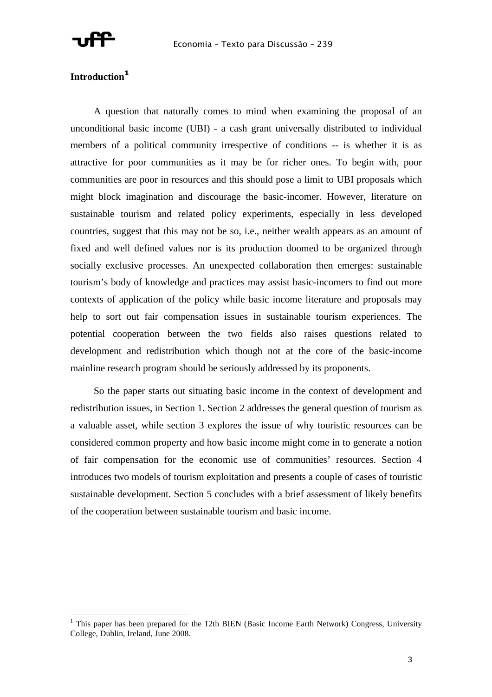

# **Introduction<sup>1</sup>**

 $\overline{a}$ 

A question that naturally comes to mind when examining the proposal of an unconditional basic income (UBI) - a cash grant universally distributed to individual members of a political community irrespective of conditions -- is whether it is as attractive for poor communities as it may be for richer ones. To begin with, poor communities are poor in resources and this should pose a limit to UBI proposals which might block imagination and discourage the basic-incomer. However, literature on sustainable tourism and related policy experiments, especially in less developed countries, suggest that this may not be so, i.e., neither wealth appears as an amount of fixed and well defined values nor is its production doomed to be organized through socially exclusive processes. An unexpected collaboration then emerges: sustainable tourism's body of knowledge and practices may assist basic-incomers to find out more contexts of application of the policy while basic income literature and proposals may help to sort out fair compensation issues in sustainable tourism experiences. The potential cooperation between the two fields also raises questions related to development and redistribution which though not at the core of the basic-income mainline research program should be seriously addressed by its proponents.

So the paper starts out situating basic income in the context of development and redistribution issues, in Section 1. Section 2 addresses the general question of tourism as a valuable asset, while section 3 explores the issue of why touristic resources can be considered common property and how basic income might come in to generate a notion of fair compensation for the economic use of communities' resources. Section 4 introduces two models of tourism exploitation and presents a couple of cases of touristic sustainable development. Section 5 concludes with a brief assessment of likely benefits of the cooperation between sustainable tourism and basic income.

<sup>&</sup>lt;sup>1</sup> This paper has been prepared for the 12th BIEN (Basic Income Earth Network) Congress, University College, Dublin, Ireland, June 2008.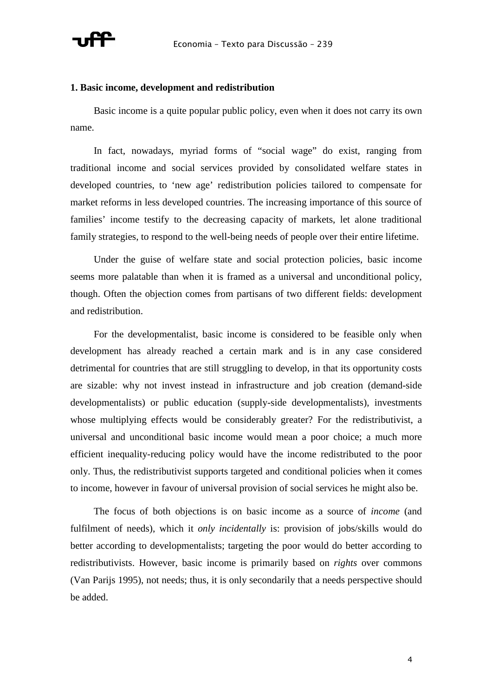

### **1. Basic income, development and redistribution**

Basic income is a quite popular public policy, even when it does not carry its own name.

In fact, nowadays, myriad forms of "social wage" do exist, ranging from traditional income and social services provided by consolidated welfare states in developed countries, to 'new age' redistribution policies tailored to compensate for market reforms in less developed countries. The increasing importance of this source of families' income testify to the decreasing capacity of markets, let alone traditional family strategies, to respond to the well-being needs of people over their entire lifetime.

Under the guise of welfare state and social protection policies, basic income seems more palatable than when it is framed as a universal and unconditional policy, though. Often the objection comes from partisans of two different fields: development and redistribution.

For the developmentalist, basic income is considered to be feasible only when development has already reached a certain mark and is in any case considered detrimental for countries that are still struggling to develop, in that its opportunity costs are sizable: why not invest instead in infrastructure and job creation (demand-side developmentalists) or public education (supply-side developmentalists), investments whose multiplying effects would be considerably greater? For the redistributivist, a universal and unconditional basic income would mean a poor choice; a much more efficient inequality-reducing policy would have the income redistributed to the poor only. Thus, the redistributivist supports targeted and conditional policies when it comes to income, however in favour of universal provision of social services he might also be.

The focus of both objections is on basic income as a source of *income* (and fulfilment of needs), which it *only incidentally* is: provision of jobs/skills would do better according to developmentalists; targeting the poor would do better according to redistributivists. However, basic income is primarily based on *rights* over commons (Van Parijs 1995), not needs; thus, it is only secondarily that a needs perspective should be added.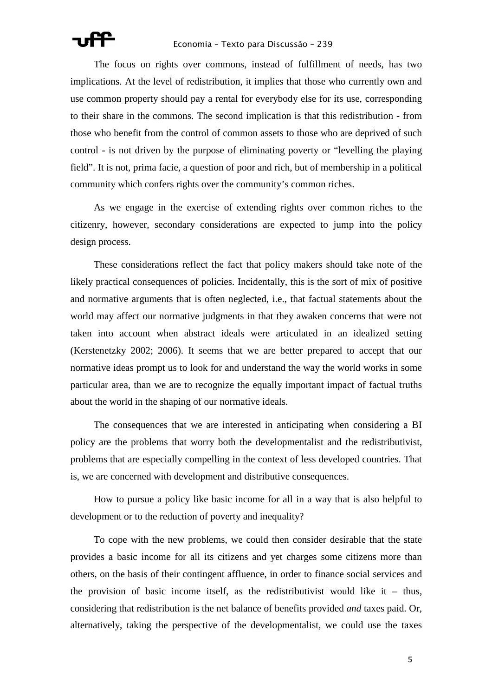The focus on rights over commons, instead of fulfillment of needs, has two implications. At the level of redistribution, it implies that those who currently own and use common property should pay a rental for everybody else for its use, corresponding to their share in the commons. The second implication is that this redistribution - from those who benefit from the control of common assets to those who are deprived of such control - is not driven by the purpose of eliminating poverty or "levelling the playing field". It is not, prima facie, a question of poor and rich, but of membership in a political community which confers rights over the community's common riches.

As we engage in the exercise of extending rights over common riches to the citizenry, however, secondary considerations are expected to jump into the policy design process.

These considerations reflect the fact that policy makers should take note of the likely practical consequences of policies. Incidentally, this is the sort of mix of positive and normative arguments that is often neglected, i.e., that factual statements about the world may affect our normative judgments in that they awaken concerns that were not taken into account when abstract ideals were articulated in an idealized setting (Kerstenetzky 2002; 2006). It seems that we are better prepared to accept that our normative ideas prompt us to look for and understand the way the world works in some particular area, than we are to recognize the equally important impact of factual truths about the world in the shaping of our normative ideals.

The consequences that we are interested in anticipating when considering a BI policy are the problems that worry both the developmentalist and the redistributivist, problems that are especially compelling in the context of less developed countries. That is, we are concerned with development and distributive consequences.

How to pursue a policy like basic income for all in a way that is also helpful to development or to the reduction of poverty and inequality?

To cope with the new problems, we could then consider desirable that the state provides a basic income for all its citizens and yet charges some citizens more than others, on the basis of their contingent affluence, in order to finance social services and the provision of basic income itself, as the redistributivist would like it – thus, considering that redistribution is the net balance of benefits provided *and* taxes paid. Or, alternatively, taking the perspective of the developmentalist, we could use the taxes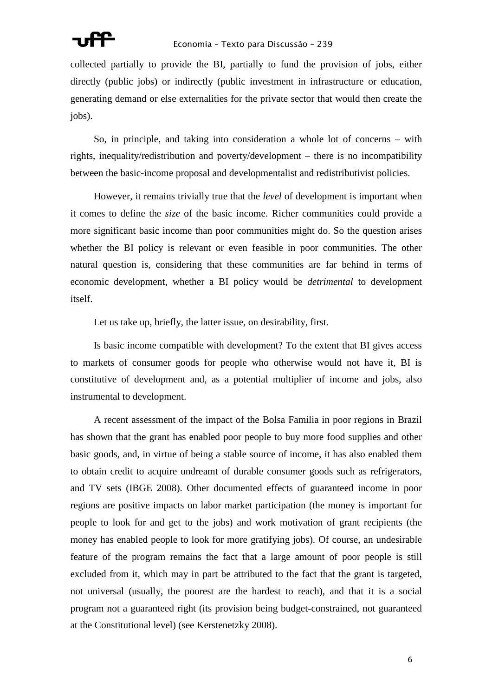

collected partially to provide the BI, partially to fund the provision of jobs, either directly (public jobs) or indirectly (public investment in infrastructure or education, generating demand or else externalities for the private sector that would then create the jobs).

So, in principle, and taking into consideration a whole lot of concerns – with rights, inequality/redistribution and poverty/development – there is no incompatibility between the basic-income proposal and developmentalist and redistributivist policies.

However, it remains trivially true that the *level* of development is important when it comes to define the *size* of the basic income. Richer communities could provide a more significant basic income than poor communities might do. So the question arises whether the BI policy is relevant or even feasible in poor communities. The other natural question is, considering that these communities are far behind in terms of economic development, whether a BI policy would be *detrimental* to development itself.

Let us take up, briefly, the latter issue, on desirability, first.

Is basic income compatible with development? To the extent that BI gives access to markets of consumer goods for people who otherwise would not have it, BI is constitutive of development and, as a potential multiplier of income and jobs, also instrumental to development.

A recent assessment of the impact of the Bolsa Familia in poor regions in Brazil has shown that the grant has enabled poor people to buy more food supplies and other basic goods, and, in virtue of being a stable source of income, it has also enabled them to obtain credit to acquire undreamt of durable consumer goods such as refrigerators, and TV sets (IBGE 2008). Other documented effects of guaranteed income in poor regions are positive impacts on labor market participation (the money is important for people to look for and get to the jobs) and work motivation of grant recipients (the money has enabled people to look for more gratifying jobs). Of course, an undesirable feature of the program remains the fact that a large amount of poor people is still excluded from it, which may in part be attributed to the fact that the grant is targeted, not universal (usually, the poorest are the hardest to reach), and that it is a social program not a guaranteed right (its provision being budget-constrained, not guaranteed at the Constitutional level) (see Kerstenetzky 2008).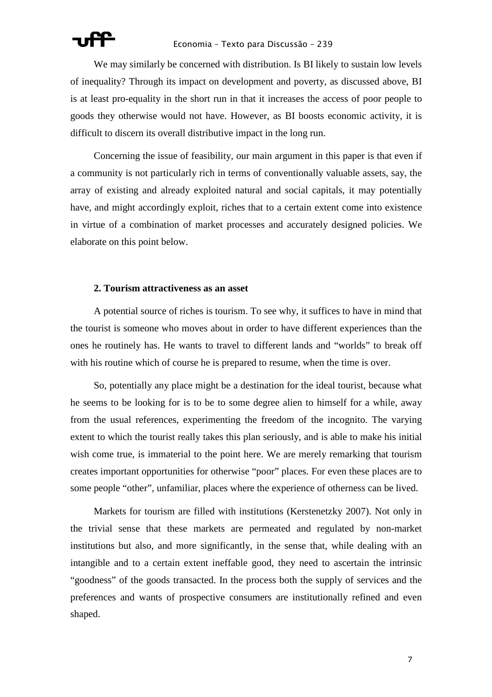We may similarly be concerned with distribution. Is BI likely to sustain low levels of inequality? Through its impact on development and poverty, as discussed above, BI is at least pro-equality in the short run in that it increases the access of poor people to goods they otherwise would not have. However, as BI boosts economic activity, it is difficult to discern its overall distributive impact in the long run.

Concerning the issue of feasibility, our main argument in this paper is that even if a community is not particularly rich in terms of conventionally valuable assets, say, the array of existing and already exploited natural and social capitals, it may potentially have, and might accordingly exploit, riches that to a certain extent come into existence in virtue of a combination of market processes and accurately designed policies. We elaborate on this point below.

### **2. Tourism attractiveness as an asset**

A potential source of riches is tourism. To see why, it suffices to have in mind that the tourist is someone who moves about in order to have different experiences than the ones he routinely has. He wants to travel to different lands and "worlds" to break off with his routine which of course he is prepared to resume, when the time is over.

So, potentially any place might be a destination for the ideal tourist, because what he seems to be looking for is to be to some degree alien to himself for a while, away from the usual references, experimenting the freedom of the incognito. The varying extent to which the tourist really takes this plan seriously, and is able to make his initial wish come true, is immaterial to the point here. We are merely remarking that tourism creates important opportunities for otherwise "poor" places. For even these places are to some people "other", unfamiliar, places where the experience of otherness can be lived.

Markets for tourism are filled with institutions (Kerstenetzky 2007). Not only in the trivial sense that these markets are permeated and regulated by non-market institutions but also, and more significantly, in the sense that, while dealing with an intangible and to a certain extent ineffable good, they need to ascertain the intrinsic "goodness" of the goods transacted. In the process both the supply of services and the preferences and wants of prospective consumers are institutionally refined and even shaped.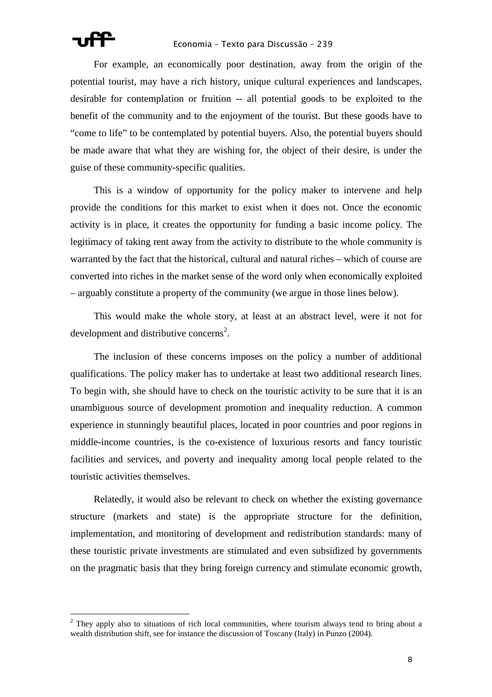

 $\overline{a}$ 

For example, an economically poor destination, away from the origin of the potential tourist, may have a rich history, unique cultural experiences and landscapes, desirable for contemplation or fruition -- all potential goods to be exploited to the benefit of the community and to the enjoyment of the tourist. But these goods have to "come to life" to be contemplated by potential buyers. Also, the potential buyers should be made aware that what they are wishing for, the object of their desire, is under the guise of these community-specific qualities.

This is a window of opportunity for the policy maker to intervene and help provide the conditions for this market to exist when it does not. Once the economic activity is in place, it creates the opportunity for funding a basic income policy. The legitimacy of taking rent away from the activity to distribute to the whole community is warranted by the fact that the historical, cultural and natural riches – which of course are converted into riches in the market sense of the word only when economically exploited – arguably constitute a property of the community (we argue in those lines below).

This would make the whole story, at least at an abstract level, were it not for development and distributive concerns<sup>2</sup>.

The inclusion of these concerns imposes on the policy a number of additional qualifications. The policy maker has to undertake at least two additional research lines. To begin with, she should have to check on the touristic activity to be sure that it is an unambiguous source of development promotion and inequality reduction. A common experience in stunningly beautiful places, located in poor countries and poor regions in middle-income countries, is the co-existence of luxurious resorts and fancy touristic facilities and services, and poverty and inequality among local people related to the touristic activities themselves.

Relatedly, it would also be relevant to check on whether the existing governance structure (markets and state) is the appropriate structure for the definition, implementation, and monitoring of development and redistribution standards: many of these touristic private investments are stimulated and even subsidized by governments on the pragmatic basis that they bring foreign currency and stimulate economic growth,

 $2$  They apply also to situations of rich local communities, where tourism always tend to bring about a wealth distribution shift, see for instance the discussion of Toscany (Italy) in Punzo (2004).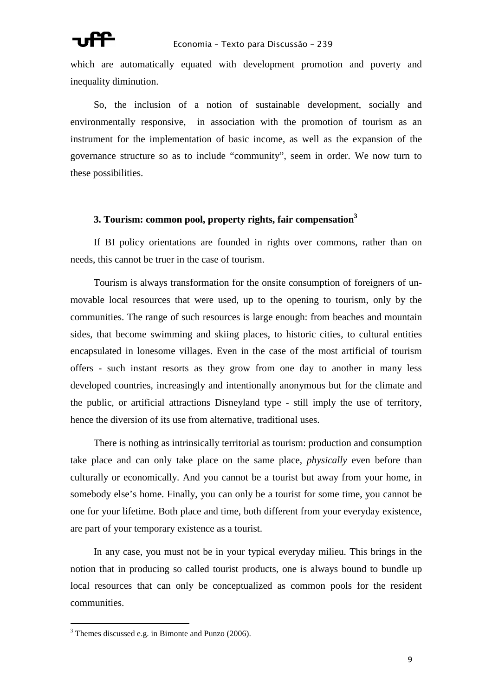### Economia – Texto para Discussão – 239



which are automatically equated with development promotion and poverty and inequality diminution.

So, the inclusion of a notion of sustainable development, socially and environmentally responsive, in association with the promotion of tourism as an instrument for the implementation of basic income, as well as the expansion of the governance structure so as to include "community", seem in order. We now turn to these possibilities.

### **3. Tourism: common pool, property rights, fair compensation<sup>3</sup>**

If BI policy orientations are founded in rights over commons, rather than on needs, this cannot be truer in the case of tourism.

Tourism is always transformation for the onsite consumption of foreigners of unmovable local resources that were used, up to the opening to tourism, only by the communities. The range of such resources is large enough: from beaches and mountain sides, that become swimming and skiing places, to historic cities, to cultural entities encapsulated in lonesome villages. Even in the case of the most artificial of tourism offers - such instant resorts as they grow from one day to another in many less developed countries, increasingly and intentionally anonymous but for the climate and the public, or artificial attractions Disneyland type - still imply the use of territory, hence the diversion of its use from alternative, traditional uses.

There is nothing as intrinsically territorial as tourism: production and consumption take place and can only take place on the same place, *physically* even before than culturally or economically. And you cannot be a tourist but away from your home, in somebody else's home. Finally, you can only be a tourist for some time, you cannot be one for your lifetime. Both place and time, both different from your everyday existence, are part of your temporary existence as a tourist.

In any case, you must not be in your typical everyday milieu. This brings in the notion that in producing so called tourist products, one is always bound to bundle up local resources that can only be conceptualized as common pools for the resident communities.

l

<sup>&</sup>lt;sup>3</sup> Themes discussed e.g. in Bimonte and Punzo (2006).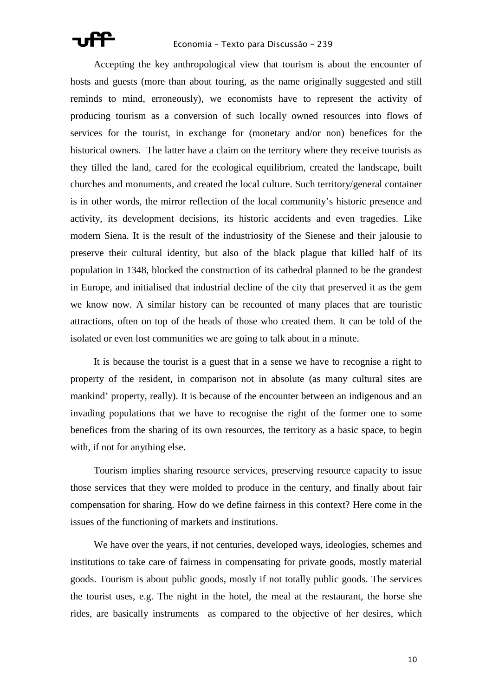Accepting the key anthropological view that tourism is about the encounter of hosts and guests (more than about touring, as the name originally suggested and still reminds to mind, erroneously), we economists have to represent the activity of producing tourism as a conversion of such locally owned resources into flows of services for the tourist, in exchange for (monetary and/or non) benefices for the historical owners. The latter have a claim on the territory where they receive tourists as they tilled the land, cared for the ecological equilibrium, created the landscape, built churches and monuments, and created the local culture. Such territory/general container is in other words, the mirror reflection of the local community's historic presence and activity, its development decisions, its historic accidents and even tragedies. Like modern Siena. It is the result of the industriosity of the Sienese and their jalousie to preserve their cultural identity, but also of the black plague that killed half of its population in 1348, blocked the construction of its cathedral planned to be the grandest in Europe, and initialised that industrial decline of the city that preserved it as the gem we know now. A similar history can be recounted of many places that are touristic attractions, often on top of the heads of those who created them. It can be told of the isolated or even lost communities we are going to talk about in a minute.

It is because the tourist is a guest that in a sense we have to recognise a right to property of the resident, in comparison not in absolute (as many cultural sites are mankind' property, really). It is because of the encounter between an indigenous and an invading populations that we have to recognise the right of the former one to some benefices from the sharing of its own resources, the territory as a basic space, to begin with, if not for anything else.

Tourism implies sharing resource services, preserving resource capacity to issue those services that they were molded to produce in the century, and finally about fair compensation for sharing. How do we define fairness in this context? Here come in the issues of the functioning of markets and institutions.

We have over the years, if not centuries, developed ways, ideologies, schemes and institutions to take care of fairness in compensating for private goods, mostly material goods. Tourism is about public goods, mostly if not totally public goods. The services the tourist uses, e.g. The night in the hotel, the meal at the restaurant, the horse she rides, are basically instruments as compared to the objective of her desires, which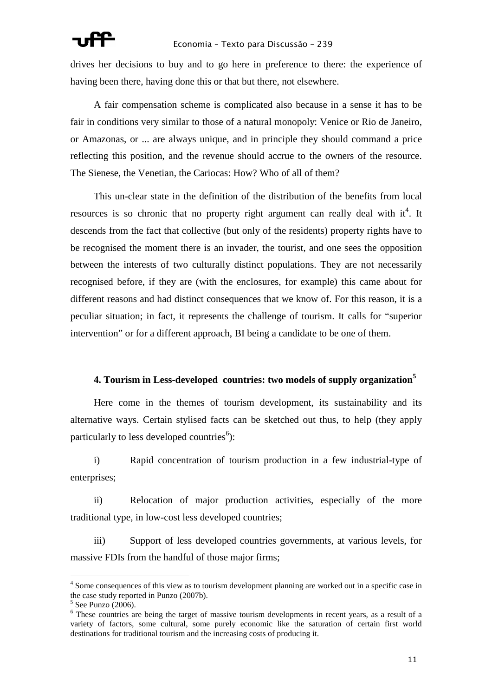### Economia – Texto para Discussão – 239

drives her decisions to buy and to go here in preference to there: the experience of having been there, having done this or that but there, not elsewhere.

A fair compensation scheme is complicated also because in a sense it has to be fair in conditions very similar to those of a natural monopoly: Venice or Rio de Janeiro, or Amazonas, or ... are always unique, and in principle they should command a price reflecting this position, and the revenue should accrue to the owners of the resource. The Sienese, the Venetian, the Cariocas: How? Who of all of them?

This un-clear state in the definition of the distribution of the benefits from local resources is so chronic that no property right argument can really deal with  $it<sup>4</sup>$ . It descends from the fact that collective (but only of the residents) property rights have to be recognised the moment there is an invader, the tourist, and one sees the opposition between the interests of two culturally distinct populations. They are not necessarily recognised before, if they are (with the enclosures, for example) this came about for different reasons and had distinct consequences that we know of. For this reason, it is a peculiar situation; in fact, it represents the challenge of tourism. It calls for "superior intervention" or for a different approach, BI being a candidate to be one of them.

### **4. Tourism in Less-developed countries: two models of supply organization<sup>5</sup>**

Here come in the themes of tourism development, its sustainability and its alternative ways. Certain stylised facts can be sketched out thus, to help (they apply particularly to less developed countries<sup>6</sup>):

i) Rapid concentration of tourism production in a few industrial-type of enterprises;

ii) Relocation of major production activities, especially of the more traditional type, in low-cost less developed countries;

iii) Support of less developed countries governments, at various levels, for massive FDIs from the handful of those major firms;

 $\overline{a}$ 

<sup>&</sup>lt;sup>4</sup> Some consequences of this view as to tourism development planning are worked out in a specific case in the case study reported in Punzo (2007b).

 $<sup>5</sup>$  See Punzo (2006).</sup>

<sup>&</sup>lt;sup>6</sup> These countries are being the target of massive tourism developments in recent years, as a result of a variety of factors, some cultural, some purely economic like the saturation of certain first world destinations for traditional tourism and the increasing costs of producing it.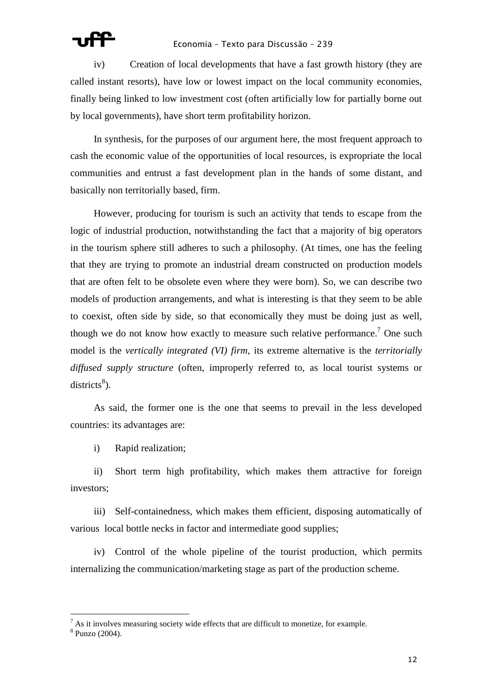### Economia – Texto para Discussão – 239

iv) Creation of local developments that have a fast growth history (they are called instant resorts), have low or lowest impact on the local community economies, finally being linked to low investment cost (often artificially low for partially borne out by local governments), have short term profitability horizon.

In synthesis, for the purposes of our argument here, the most frequent approach to cash the economic value of the opportunities of local resources, is expropriate the local communities and entrust a fast development plan in the hands of some distant, and basically non territorially based, firm.

However, producing for tourism is such an activity that tends to escape from the logic of industrial production, notwithstanding the fact that a majority of big operators in the tourism sphere still adheres to such a philosophy. (At times, one has the feeling that they are trying to promote an industrial dream constructed on production models that are often felt to be obsolete even where they were born). So, we can describe two models of production arrangements, and what is interesting is that they seem to be able to coexist, often side by side, so that economically they must be doing just as well, though we do not know how exactly to measure such relative performance.<sup>7</sup> One such model is the *vertically integrated (VI) firm*, its extreme alternative is the *territorially diffused supply structure* (often, improperly referred to, as local tourist systems or districts<sup>8</sup>).

As said, the former one is the one that seems to prevail in the less developed countries: its advantages are:

i) Rapid realization;

ii) Short term high profitability, which makes them attractive for foreign investors;

iii) Self-containedness, which makes them efficient, disposing automatically of various local bottle necks in factor and intermediate good supplies;

iv) Control of the whole pipeline of the tourist production, which permits internalizing the communication/marketing stage as part of the production scheme.

 $\overline{a}$ 

 $<sup>7</sup>$  As it involves measuring society wide effects that are difficult to monetize, for example.</sup>

<sup>8</sup> Punzo (2004).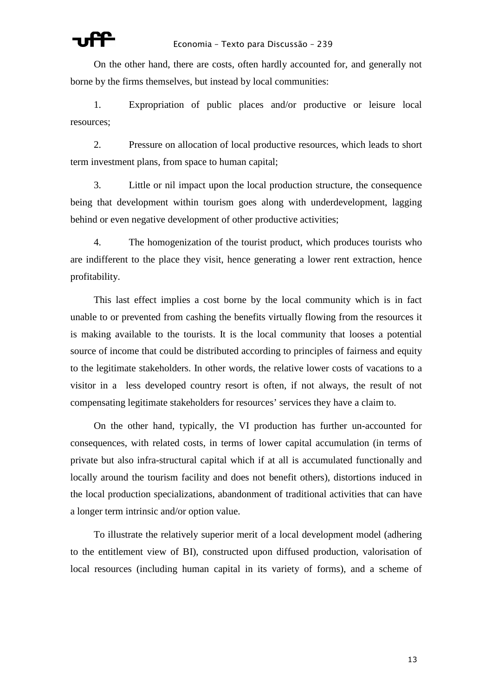

On the other hand, there are costs, often hardly accounted for, and generally not borne by the firms themselves, but instead by local communities:

1. Expropriation of public places and/or productive or leisure local resources;

2. Pressure on allocation of local productive resources, which leads to short term investment plans, from space to human capital;

3. Little or nil impact upon the local production structure, the consequence being that development within tourism goes along with underdevelopment, lagging behind or even negative development of other productive activities;

4. The homogenization of the tourist product, which produces tourists who are indifferent to the place they visit, hence generating a lower rent extraction, hence profitability.

This last effect implies a cost borne by the local community which is in fact unable to or prevented from cashing the benefits virtually flowing from the resources it is making available to the tourists. It is the local community that looses a potential source of income that could be distributed according to principles of fairness and equity to the legitimate stakeholders. In other words, the relative lower costs of vacations to a visitor in a less developed country resort is often, if not always, the result of not compensating legitimate stakeholders for resources' services they have a claim to.

On the other hand, typically, the VI production has further un-accounted for consequences, with related costs, in terms of lower capital accumulation (in terms of private but also infra-structural capital which if at all is accumulated functionally and locally around the tourism facility and does not benefit others), distortions induced in the local production specializations, abandonment of traditional activities that can have a longer term intrinsic and/or option value.

To illustrate the relatively superior merit of a local development model (adhering to the entitlement view of BI), constructed upon diffused production, valorisation of local resources (including human capital in its variety of forms), and a scheme of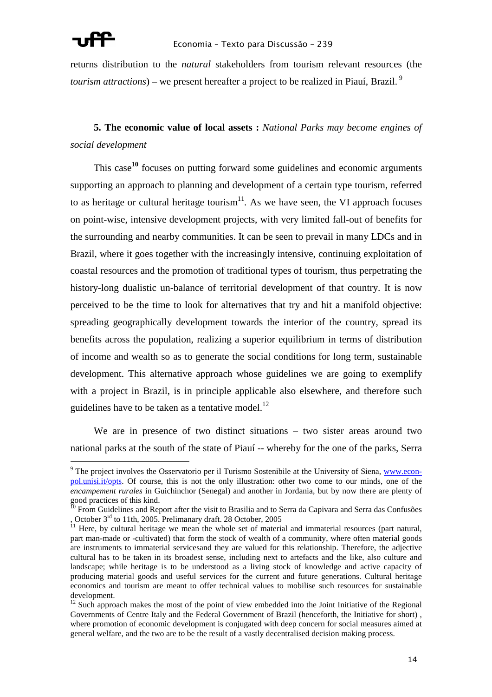

 $\overline{a}$ 

returns distribution to the *natural* stakeholders from tourism relevant resources (the *tourism attractions*) – we present hereafter a project to be realized in Piauí, Brazil.<sup>9</sup>

# **5. The economic value of local assets :** *National Parks may become engines of social development*

This case**<sup>10</sup>** focuses on putting forward some guidelines and economic arguments supporting an approach to planning and development of a certain type tourism, referred to as heritage or cultural heritage tourism<sup>11</sup>. As we have seen, the VI approach focuses on point-wise, intensive development projects, with very limited fall-out of benefits for the surrounding and nearby communities. It can be seen to prevail in many LDCs and in Brazil, where it goes together with the increasingly intensive, continuing exploitation of coastal resources and the promotion of traditional types of tourism, thus perpetrating the history-long dualistic un-balance of territorial development of that country. It is now perceived to be the time to look for alternatives that try and hit a manifold objective: spreading geographically development towards the interior of the country, spread its benefits across the population, realizing a superior equilibrium in terms of distribution of income and wealth so as to generate the social conditions for long term, sustainable development. This alternative approach whose guidelines we are going to exemplify with a project in Brazil, is in principle applicable also elsewhere, and therefore such guidelines have to be taken as a tentative model. $^{12}$ 

We are in presence of two distinct situations – two sister areas around two national parks at the south of the state of Piauí -- whereby for the one of the parks, Serra

<sup>&</sup>lt;sup>9</sup> The project involves the Osservatorio per il Turismo Sostenibile at the University of Siena, www.econpol.unisi.it/opts. Of course, this is not the only illustration: other two come to our minds, one of the *encampement rurales* in Guichinchor (Senegal) and another in Jordania, but by now there are plenty of good practices of this kind.

 $\overline{10}$  From Guidelines and Report after the visit to Brasilia and to Serra da Capivara and Serra das Confusões , October 3rd to 11th, 2005. Prelimanary draft. 28 October, 2005

 $11$  Here, by cultural heritage we mean the whole set of material and immaterial resources (part natural, part man-made or -cultivated) that form the stock of wealth of a community, where often material goods are instruments to immaterial servicesand they are valued for this relationship. Therefore, the adjective cultural has to be taken in its broadest sense, including next to artefacts and the like, also culture and landscape; while heritage is to be understood as a living stock of knowledge and active capacity of producing material goods and useful services for the current and future generations. Cultural heritage economics and tourism are meant to offer technical values to mobilise such resources for sustainable development.

 $12$  Such approach makes the most of the point of view embedded into the Joint Initiative of the Regional Governments of Centre Italy and the Federal Government of Brazil (henceforth, the Initiative for short) , where promotion of economic development is conjugated with deep concern for social measures aimed at general welfare, and the two are to be the result of a vastly decentralised decision making process.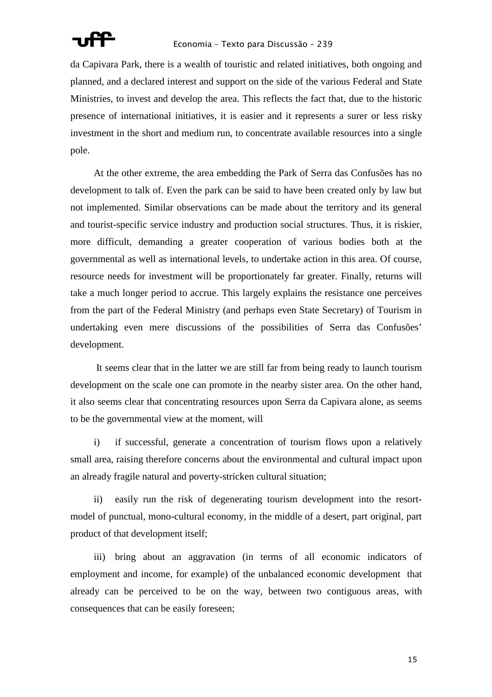

da Capivara Park, there is a wealth of touristic and related initiatives, both ongoing and planned, and a declared interest and support on the side of the various Federal and State Ministries, to invest and develop the area. This reflects the fact that, due to the historic presence of international initiatives, it is easier and it represents a surer or less risky investment in the short and medium run, to concentrate available resources into a single pole.

At the other extreme, the area embedding the Park of Serra das Confusões has no development to talk of. Even the park can be said to have been created only by law but not implemented. Similar observations can be made about the territory and its general and tourist-specific service industry and production social structures. Thus, it is riskier, more difficult, demanding a greater cooperation of various bodies both at the governmental as well as international levels, to undertake action in this area. Of course, resource needs for investment will be proportionately far greater. Finally, returns will take a much longer period to accrue. This largely explains the resistance one perceives from the part of the Federal Ministry (and perhaps even State Secretary) of Tourism in undertaking even mere discussions of the possibilities of Serra das Confusões' development.

 It seems clear that in the latter we are still far from being ready to launch tourism development on the scale one can promote in the nearby sister area. On the other hand, it also seems clear that concentrating resources upon Serra da Capivara alone, as seems to be the governmental view at the moment, will

i) if successful, generate a concentration of tourism flows upon a relatively small area, raising therefore concerns about the environmental and cultural impact upon an already fragile natural and poverty-stricken cultural situation;

ii) easily run the risk of degenerating tourism development into the resortmodel of punctual, mono-cultural economy, in the middle of a desert, part original, part product of that development itself;

iii) bring about an aggravation (in terms of all economic indicators of employment and income, for example) of the unbalanced economic development that already can be perceived to be on the way, between two contiguous areas, with consequences that can be easily foreseen;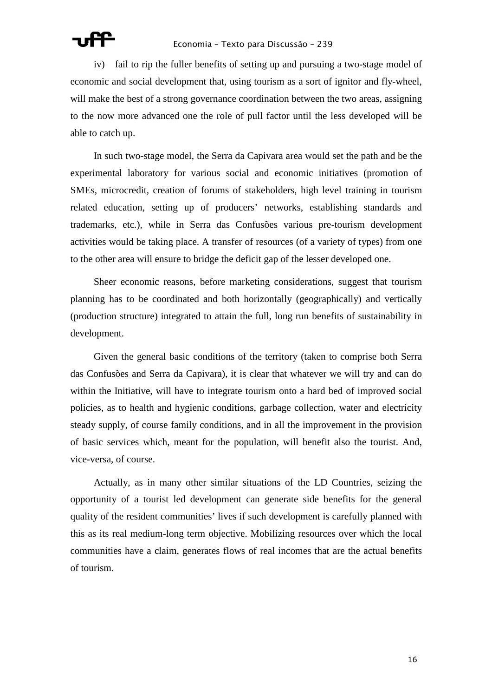iv) fail to rip the fuller benefits of setting up and pursuing a two-stage model of economic and social development that, using tourism as a sort of ignitor and fly-wheel, will make the best of a strong governance coordination between the two areas, assigning to the now more advanced one the role of pull factor until the less developed will be able to catch up.

In such two-stage model, the Serra da Capivara area would set the path and be the experimental laboratory for various social and economic initiatives (promotion of SMEs, microcredit, creation of forums of stakeholders, high level training in tourism related education, setting up of producers' networks, establishing standards and trademarks, etc.), while in Serra das Confusões various pre-tourism development activities would be taking place. A transfer of resources (of a variety of types) from one to the other area will ensure to bridge the deficit gap of the lesser developed one.

Sheer economic reasons, before marketing considerations, suggest that tourism planning has to be coordinated and both horizontally (geographically) and vertically (production structure) integrated to attain the full, long run benefits of sustainability in development.

Given the general basic conditions of the territory (taken to comprise both Serra das Confusões and Serra da Capivara), it is clear that whatever we will try and can do within the Initiative, will have to integrate tourism onto a hard bed of improved social policies, as to health and hygienic conditions, garbage collection, water and electricity steady supply, of course family conditions, and in all the improvement in the provision of basic services which, meant for the population, will benefit also the tourist. And, vice-versa, of course.

Actually, as in many other similar situations of the LD Countries, seizing the opportunity of a tourist led development can generate side benefits for the general quality of the resident communities' lives if such development is carefully planned with this as its real medium-long term objective. Mobilizing resources over which the local communities have a claim, generates flows of real incomes that are the actual benefits of tourism.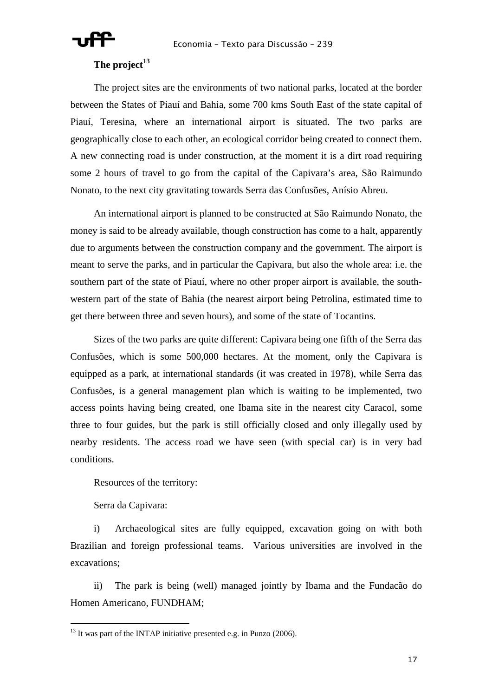

# **The project<sup>13</sup>**

The project sites are the environments of two national parks, located at the border between the States of Piauí and Bahia, some 700 kms South East of the state capital of Piauí, Teresina, where an international airport is situated. The two parks are geographically close to each other, an ecological corridor being created to connect them. A new connecting road is under construction, at the moment it is a dirt road requiring some 2 hours of travel to go from the capital of the Capivara's area, São Raimundo Nonato, to the next city gravitating towards Serra das Confusões, Anísio Abreu.

An international airport is planned to be constructed at São Raimundo Nonato, the money is said to be already available, though construction has come to a halt, apparently due to arguments between the construction company and the government. The airport is meant to serve the parks, and in particular the Capivara, but also the whole area: i.e. the southern part of the state of Piauí, where no other proper airport is available, the southwestern part of the state of Bahia (the nearest airport being Petrolina, estimated time to get there between three and seven hours), and some of the state of Tocantins.

Sizes of the two parks are quite different: Capivara being one fifth of the Serra das Confusões, which is some 500,000 hectares. At the moment, only the Capivara is equipped as a park, at international standards (it was created in 1978), while Serra das Confusões, is a general management plan which is waiting to be implemented, two access points having being created, one Ibama site in the nearest city Caracol, some three to four guides, but the park is still officially closed and only illegally used by nearby residents. The access road we have seen (with special car) is in very bad conditions.

Resources of the territory:

Serra da Capivara:

l

i) Archaeological sites are fully equipped, excavation going on with both Brazilian and foreign professional teams. Various universities are involved in the excavations;

ii) The park is being (well) managed jointly by Ibama and the Fundacão do Homen Americano, FUNDHAM;

 $13$  It was part of the INTAP initiative presented e.g. in Punzo (2006).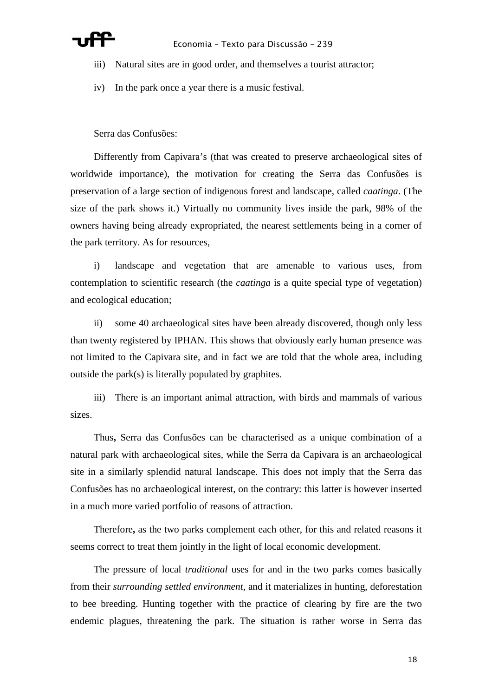

- iii) Natural sites are in good order, and themselves a tourist attractor;
- iv) In the park once a year there is a music festival.

Serra das Confusões:

Differently from Capivara's (that was created to preserve archaeological sites of worldwide importance), the motivation for creating the Serra das Confusões is preservation of a large section of indigenous forest and landscape, called *caatinga*. (The size of the park shows it.) Virtually no community lives inside the park, 98% of the owners having being already expropriated, the nearest settlements being in a corner of the park territory. As for resources,

i) landscape and vegetation that are amenable to various uses, from contemplation to scientific research (the *caatinga* is a quite special type of vegetation) and ecological education;

ii) some 40 archaeological sites have been already discovered, though only less than twenty registered by IPHAN. This shows that obviously early human presence was not limited to the Capivara site, and in fact we are told that the whole area, including outside the park(s) is literally populated by graphites.

iii) There is an important animal attraction, with birds and mammals of various sizes.

Thus**,** Serra das Confusões can be characterised as a unique combination of a natural park with archaeological sites, while the Serra da Capivara is an archaeological site in a similarly splendid natural landscape. This does not imply that the Serra das Confusões has no archaeological interest, on the contrary: this latter is however inserted in a much more varied portfolio of reasons of attraction.

Therefore**,** as the two parks complement each other, for this and related reasons it seems correct to treat them jointly in the light of local economic development.

The pressure of local *traditional* uses for and in the two parks comes basically from their *surrounding settled environment*, and it materializes in hunting, deforestation to bee breeding. Hunting together with the practice of clearing by fire are the two endemic plagues, threatening the park. The situation is rather worse in Serra das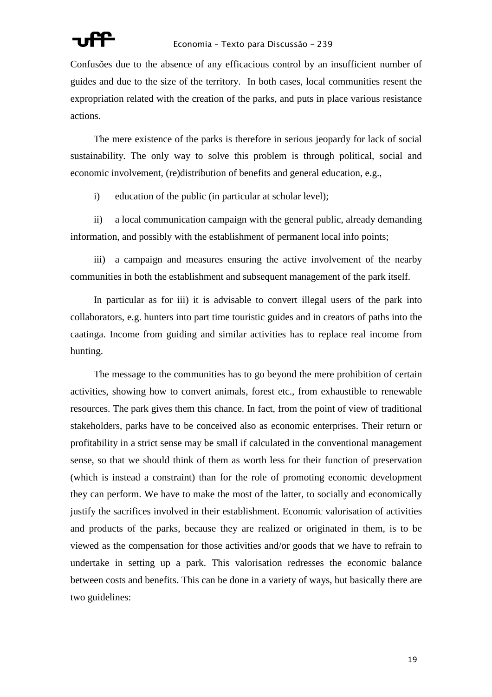Confusões due to the absence of any efficacious control by an insufficient number of guides and due to the size of the territory. In both cases, local communities resent the expropriation related with the creation of the parks, and puts in place various resistance actions.

The mere existence of the parks is therefore in serious jeopardy for lack of social sustainability. The only way to solve this problem is through political, social and economic involvement, (re)distribution of benefits and general education, e.g.,

i) education of the public (in particular at scholar level);

ii) a local communication campaign with the general public, already demanding information, and possibly with the establishment of permanent local info points;

iii) a campaign and measures ensuring the active involvement of the nearby communities in both the establishment and subsequent management of the park itself.

In particular as for iii) it is advisable to convert illegal users of the park into collaborators, e.g. hunters into part time touristic guides and in creators of paths into the caatinga. Income from guiding and similar activities has to replace real income from hunting.

The message to the communities has to go beyond the mere prohibition of certain activities, showing how to convert animals, forest etc., from exhaustible to renewable resources. The park gives them this chance. In fact, from the point of view of traditional stakeholders, parks have to be conceived also as economic enterprises. Their return or profitability in a strict sense may be small if calculated in the conventional management sense, so that we should think of them as worth less for their function of preservation (which is instead a constraint) than for the role of promoting economic development they can perform. We have to make the most of the latter, to socially and economically justify the sacrifices involved in their establishment. Economic valorisation of activities and products of the parks, because they are realized or originated in them, is to be viewed as the compensation for those activities and/or goods that we have to refrain to undertake in setting up a park. This valorisation redresses the economic balance between costs and benefits. This can be done in a variety of ways, but basically there are two guidelines: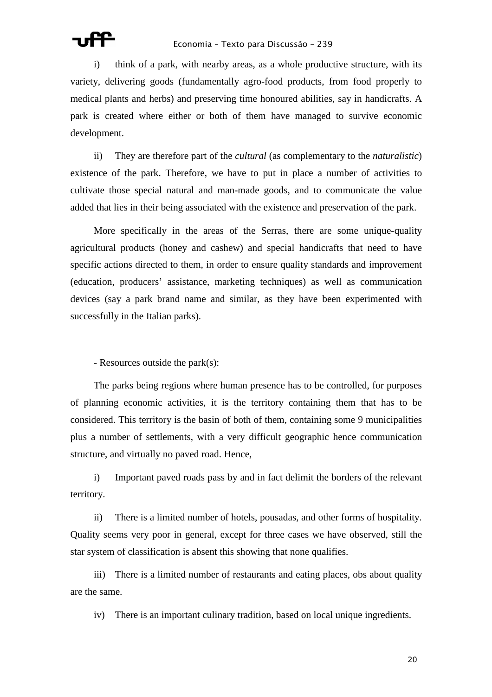i) think of a park, with nearby areas, as a whole productive structure, with its variety, delivering goods (fundamentally agro-food products, from food properly to medical plants and herbs) and preserving time honoured abilities, say in handicrafts. A park is created where either or both of them have managed to survive economic development.

ii) They are therefore part of the *cultural* (as complementary to the *naturalistic*) existence of the park. Therefore, we have to put in place a number of activities to cultivate those special natural and man-made goods, and to communicate the value added that lies in their being associated with the existence and preservation of the park.

More specifically in the areas of the Serras, there are some unique-quality agricultural products (honey and cashew) and special handicrafts that need to have specific actions directed to them, in order to ensure quality standards and improvement (education, producers' assistance, marketing techniques) as well as communication devices (say a park brand name and similar, as they have been experimented with successfully in the Italian parks).

- Resources outside the park(s):

The parks being regions where human presence has to be controlled, for purposes of planning economic activities, it is the territory containing them that has to be considered. This territory is the basin of both of them, containing some 9 municipalities plus a number of settlements, with a very difficult geographic hence communication structure, and virtually no paved road. Hence,

i) Important paved roads pass by and in fact delimit the borders of the relevant territory.

ii) There is a limited number of hotels, pousadas, and other forms of hospitality. Quality seems very poor in general, except for three cases we have observed, still the star system of classification is absent this showing that none qualifies.

iii) There is a limited number of restaurants and eating places, obs about quality are the same.

iv) There is an important culinary tradition, based on local unique ingredients.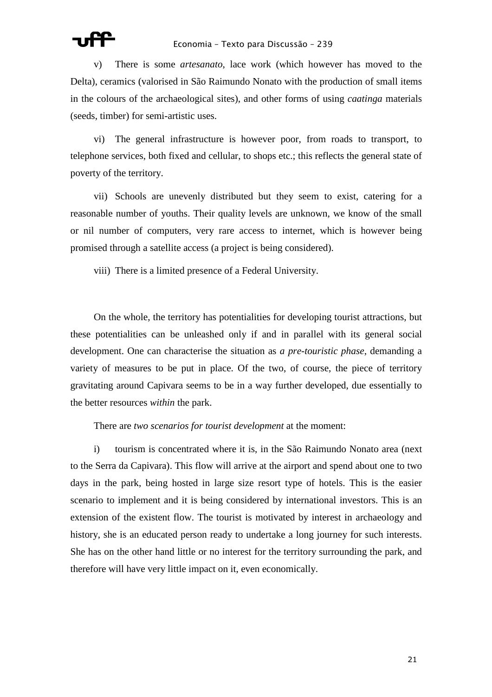v) There is some *artesanato*, lace work (which however has moved to the Delta), ceramics (valorised in São Raimundo Nonato with the production of small items in the colours of the archaeological sites), and other forms of using *caatinga* materials (seeds, timber) for semi-artistic uses.

vi) The general infrastructure is however poor, from roads to transport, to telephone services, both fixed and cellular, to shops etc.; this reflects the general state of poverty of the territory.

vii) Schools are unevenly distributed but they seem to exist, catering for a reasonable number of youths. Their quality levels are unknown, we know of the small or nil number of computers, very rare access to internet, which is however being promised through a satellite access (a project is being considered).

viii) There is a limited presence of a Federal University.

On the whole, the territory has potentialities for developing tourist attractions, but these potentialities can be unleashed only if and in parallel with its general social development. One can characterise the situation as *a pre-touristic phase*, demanding a variety of measures to be put in place. Of the two, of course, the piece of territory gravitating around Capivara seems to be in a way further developed, due essentially to the better resources *within* the park.

There are *two scenarios for tourist development* at the moment:

i) tourism is concentrated where it is, in the São Raimundo Nonato area (next to the Serra da Capivara). This flow will arrive at the airport and spend about one to two days in the park, being hosted in large size resort type of hotels. This is the easier scenario to implement and it is being considered by international investors. This is an extension of the existent flow. The tourist is motivated by interest in archaeology and history, she is an educated person ready to undertake a long journey for such interests. She has on the other hand little or no interest for the territory surrounding the park, and therefore will have very little impact on it, even economically.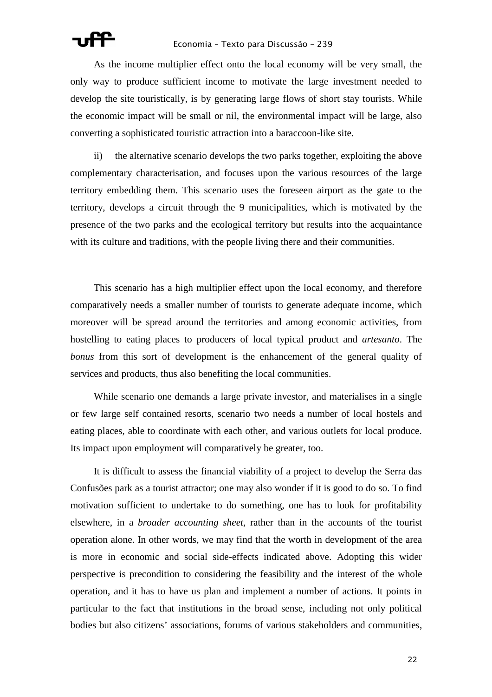As the income multiplier effect onto the local economy will be very small, the only way to produce sufficient income to motivate the large investment needed to develop the site touristically, is by generating large flows of short stay tourists. While the economic impact will be small or nil, the environmental impact will be large, also converting a sophisticated touristic attraction into a baraccoon-like site.

ii) the alternative scenario develops the two parks together, exploiting the above complementary characterisation, and focuses upon the various resources of the large territory embedding them. This scenario uses the foreseen airport as the gate to the territory, develops a circuit through the 9 municipalities, which is motivated by the presence of the two parks and the ecological territory but results into the acquaintance with its culture and traditions, with the people living there and their communities.

This scenario has a high multiplier effect upon the local economy, and therefore comparatively needs a smaller number of tourists to generate adequate income, which moreover will be spread around the territories and among economic activities, from hostelling to eating places to producers of local typical product and *artesanto*. The *bonus* from this sort of development is the enhancement of the general quality of services and products, thus also benefiting the local communities.

While scenario one demands a large private investor, and materialises in a single or few large self contained resorts, scenario two needs a number of local hostels and eating places, able to coordinate with each other, and various outlets for local produce. Its impact upon employment will comparatively be greater, too.

It is difficult to assess the financial viability of a project to develop the Serra das Confusões park as a tourist attractor; one may also wonder if it is good to do so. To find motivation sufficient to undertake to do something, one has to look for profitability elsewhere, in a *broader accounting sheet*, rather than in the accounts of the tourist operation alone. In other words, we may find that the worth in development of the area is more in economic and social side-effects indicated above. Adopting this wider perspective is precondition to considering the feasibility and the interest of the whole operation, and it has to have us plan and implement a number of actions. It points in particular to the fact that institutions in the broad sense, including not only political bodies but also citizens' associations, forums of various stakeholders and communities,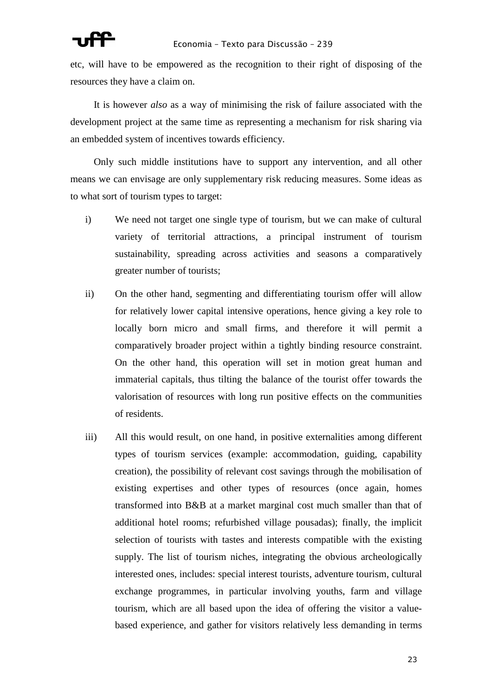etc, will have to be empowered as the recognition to their right of disposing of the resources they have a claim on.

It is however *also* as a way of minimising the risk of failure associated with the development project at the same time as representing a mechanism for risk sharing via an embedded system of incentives towards efficiency.

Only such middle institutions have to support any intervention, and all other means we can envisage are only supplementary risk reducing measures. Some ideas as to what sort of tourism types to target:

- i) We need not target one single type of tourism, but we can make of cultural variety of territorial attractions, a principal instrument of tourism sustainability, spreading across activities and seasons a comparatively greater number of tourists;
- ii) On the other hand, segmenting and differentiating tourism offer will allow for relatively lower capital intensive operations, hence giving a key role to locally born micro and small firms, and therefore it will permit a comparatively broader project within a tightly binding resource constraint. On the other hand, this operation will set in motion great human and immaterial capitals, thus tilting the balance of the tourist offer towards the valorisation of resources with long run positive effects on the communities of residents.
- iii) All this would result, on one hand, in positive externalities among different types of tourism services (example: accommodation, guiding, capability creation), the possibility of relevant cost savings through the mobilisation of existing expertises and other types of resources (once again, homes transformed into B&B at a market marginal cost much smaller than that of additional hotel rooms; refurbished village pousadas); finally, the implicit selection of tourists with tastes and interests compatible with the existing supply. The list of tourism niches, integrating the obvious archeologically interested ones, includes: special interest tourists, adventure tourism, cultural exchange programmes, in particular involving youths, farm and village tourism, which are all based upon the idea of offering the visitor a valuebased experience, and gather for visitors relatively less demanding in terms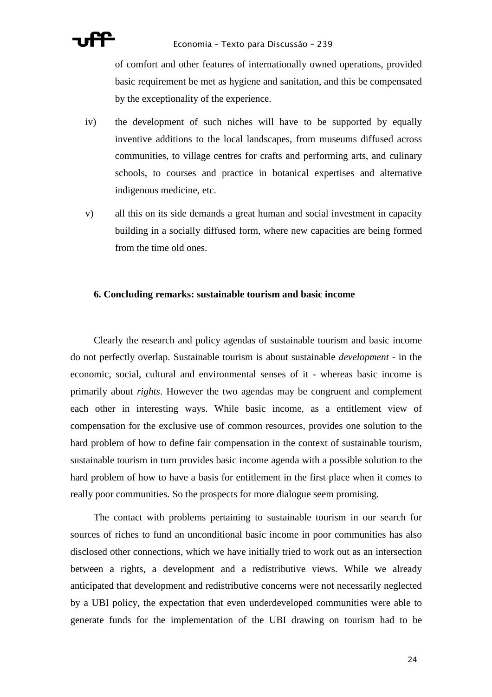

of comfort and other features of internationally owned operations, provided basic requirement be met as hygiene and sanitation, and this be compensated by the exceptionality of the experience.

- iv) the development of such niches will have to be supported by equally inventive additions to the local landscapes, from museums diffused across communities, to village centres for crafts and performing arts, and culinary schools, to courses and practice in botanical expertises and alternative indigenous medicine, etc.
- v) all this on its side demands a great human and social investment in capacity building in a socially diffused form, where new capacities are being formed from the time old ones.

### **6. Concluding remarks: sustainable tourism and basic income**

Clearly the research and policy agendas of sustainable tourism and basic income do not perfectly overlap. Sustainable tourism is about sustainable *development* - in the economic, social, cultural and environmental senses of it - whereas basic income is primarily about *rights*. However the two agendas may be congruent and complement each other in interesting ways. While basic income, as a entitlement view of compensation for the exclusive use of common resources, provides one solution to the hard problem of how to define fair compensation in the context of sustainable tourism, sustainable tourism in turn provides basic income agenda with a possible solution to the hard problem of how to have a basis for entitlement in the first place when it comes to really poor communities. So the prospects for more dialogue seem promising.

The contact with problems pertaining to sustainable tourism in our search for sources of riches to fund an unconditional basic income in poor communities has also disclosed other connections, which we have initially tried to work out as an intersection between a rights, a development and a redistributive views. While we already anticipated that development and redistributive concerns were not necessarily neglected by a UBI policy, the expectation that even underdeveloped communities were able to generate funds for the implementation of the UBI drawing on tourism had to be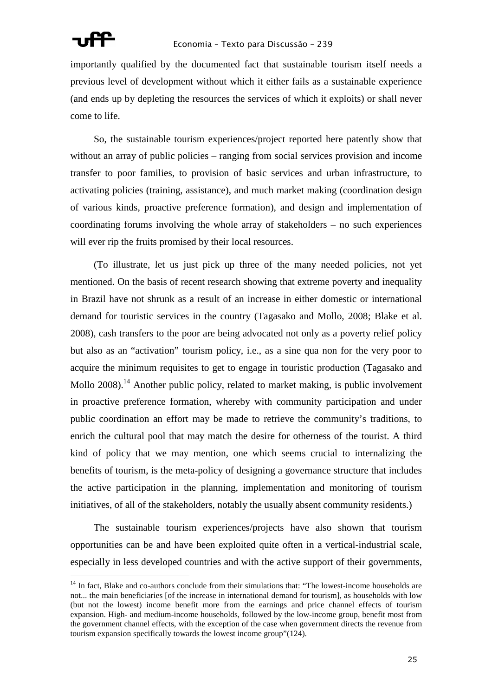

 $\overline{a}$ 

importantly qualified by the documented fact that sustainable tourism itself needs a previous level of development without which it either fails as a sustainable experience (and ends up by depleting the resources the services of which it exploits) or shall never come to life.

So, the sustainable tourism experiences/project reported here patently show that without an array of public policies – ranging from social services provision and income transfer to poor families, to provision of basic services and urban infrastructure, to activating policies (training, assistance), and much market making (coordination design of various kinds, proactive preference formation), and design and implementation of coordinating forums involving the whole array of stakeholders – no such experiences will ever rip the fruits promised by their local resources.

(To illustrate, let us just pick up three of the many needed policies, not yet mentioned. On the basis of recent research showing that extreme poverty and inequality in Brazil have not shrunk as a result of an increase in either domestic or international demand for touristic services in the country (Tagasako and Mollo, 2008; Blake et al. 2008), cash transfers to the poor are being advocated not only as a poverty relief policy but also as an "activation" tourism policy, i.e., as a sine qua non for the very poor to acquire the minimum requisites to get to engage in touristic production (Tagasako and Mollo 2008).<sup>14</sup> Another public policy, related to market making, is public involvement in proactive preference formation, whereby with community participation and under public coordination an effort may be made to retrieve the community's traditions, to enrich the cultural pool that may match the desire for otherness of the tourist. A third kind of policy that we may mention, one which seems crucial to internalizing the benefits of tourism, is the meta-policy of designing a governance structure that includes the active participation in the planning, implementation and monitoring of tourism initiatives, of all of the stakeholders, notably the usually absent community residents.)

The sustainable tourism experiences/projects have also shown that tourism opportunities can be and have been exploited quite often in a vertical-industrial scale, especially in less developed countries and with the active support of their governments,

<sup>&</sup>lt;sup>14</sup> In fact. Blake and co-authors conclude from their simulations that: "The lowest-income households are not... the main beneficiaries [of the increase in international demand for tourism], as households with low (but not the lowest) income benefit more from the earnings and price channel effects of tourism expansion. High- and medium-income households, followed by the low-income group, benefit most from the government channel effects, with the exception of the case when government directs the revenue from tourism expansion specifically towards the lowest income group"(124).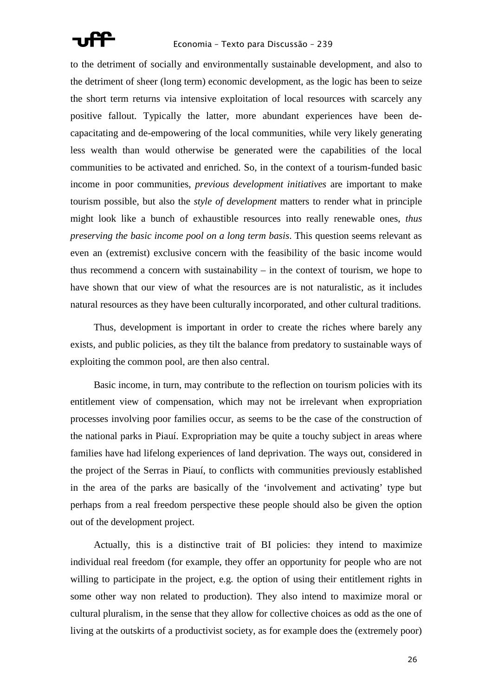

to the detriment of socially and environmentally sustainable development, and also to the detriment of sheer (long term) economic development, as the logic has been to seize the short term returns via intensive exploitation of local resources with scarcely any positive fallout. Typically the latter, more abundant experiences have been decapacitating and de-empowering of the local communities, while very likely generating less wealth than would otherwise be generated were the capabilities of the local communities to be activated and enriched. So, in the context of a tourism-funded basic income in poor communities, *previous development initiatives* are important to make tourism possible, but also the *style of development* matters to render what in principle might look like a bunch of exhaustible resources into really renewable ones, *thus preserving the basic income pool on a long term basis*. This question seems relevant as even an (extremist) exclusive concern with the feasibility of the basic income would thus recommend a concern with sustainability – in the context of tourism, we hope to have shown that our view of what the resources are is not naturalistic, as it includes natural resources as they have been culturally incorporated, and other cultural traditions.

Thus, development is important in order to create the riches where barely any exists, and public policies, as they tilt the balance from predatory to sustainable ways of exploiting the common pool, are then also central.

Basic income, in turn, may contribute to the reflection on tourism policies with its entitlement view of compensation, which may not be irrelevant when expropriation processes involving poor families occur, as seems to be the case of the construction of the national parks in Piauí. Expropriation may be quite a touchy subject in areas where families have had lifelong experiences of land deprivation. The ways out, considered in the project of the Serras in Piauí, to conflicts with communities previously established in the area of the parks are basically of the 'involvement and activating' type but perhaps from a real freedom perspective these people should also be given the option out of the development project.

Actually, this is a distinctive trait of BI policies: they intend to maximize individual real freedom (for example, they offer an opportunity for people who are not willing to participate in the project, e.g. the option of using their entitlement rights in some other way non related to production). They also intend to maximize moral or cultural pluralism, in the sense that they allow for collective choices as odd as the one of living at the outskirts of a productivist society, as for example does the (extremely poor)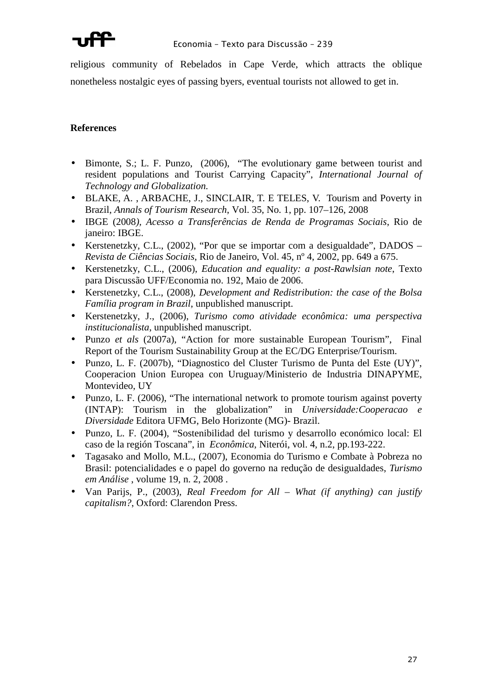

religious community of Rebelados in Cape Verde, which attracts the oblique nonetheless nostalgic eyes of passing byers, eventual tourists not allowed to get in.

# **References**

- Bimonte, S.; L. F. Punzo, (2006), "The evolutionary game between tourist and resident populations and Tourist Carrying Capacity", *International Journal of Technology and Globalization.*
- BLAKE, A. , ARBACHE, J., SINCLAIR, T. E TELES, V. Tourism and Poverty in Brazil, *Annals of Tourism Research*, Vol. 35, No. 1, pp. 107–126, 2008
- IBGE (2008*), Acesso a Transferências de Renda de Programas Sociais*, Rio de janeiro: IBGE.
- Kerstenetzky, C.L., (2002), "Por que se importar com a desigualdade", DADOS *Revista de Ciências Sociais*, Rio de Janeiro, Vol. 45, nº 4, 2002, pp. 649 a 675.
- Kerstenetzky, C.L., (2006), *Education and equality: a post-Rawlsian note*, Texto para Discussão UFF/Economia no. 192, Maio de 2006.
- Kerstenetzky, C.L., (2008), *Development and Redistribution: the case of the Bolsa Família program in Brazil*, unpublished manuscript.
- Kerstenetzky, J., (2006), *Turismo como atividade econômica: uma perspectiva institucionalista*, unpublished manuscript.
- Punzo *et als* (2007a), "Action for more sustainable European Tourism", Final Report of the Tourism Sustainability Group at the EC/DG Enterprise/Tourism.
- Punzo, L. F. (2007b), "Diagnostico del Cluster Turismo de Punta del Este (UY)", Cooperacion Union Europea con Uruguay/Ministerio de Industria DINAPYME, Montevideo, UY
- Punzo, L. F. (2006), "The international network to promote tourism against poverty (INTAP): Tourism in the globalization" in *Universidade:Cooperacao e Diversidade* Editora UFMG, Belo Horizonte (MG)- Brazil.
- Punzo, L. F. (2004), "Sostenibilidad del turismo y desarrollo económico local: El caso de la región Toscana", in *Econômica*, Niterói, vol. 4, n.2, pp.193-222.
- Tagasako and Mollo, M.L., (2007), Economia do Turismo e Combate à Pobreza no Brasil: potencialidades e o papel do governo na redução de desigualdades, *Turismo em Análise* , volume 19, n. 2, 2008 .
- Van Parijs, P., (2003), *Real Freedom for All What (if anything) can justify capitalism?*, Oxford: Clarendon Press.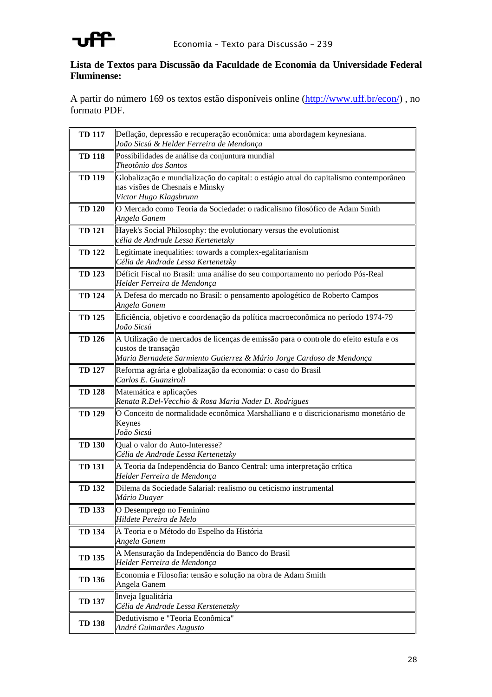

# **Lista de Textos para Discussão da Faculdade de Economia da Universidade Federal Fluminense:**

A partir do número 169 os textos estão disponíveis online (http://www.uff.br/econ/) , no formato PDF.

| <b>TD 117</b> | Deflação, depressão e recuperação econômica: uma abordagem keynesiana.<br>João Sicsú & Helder Ferreira de Mendonça                                                                    |
|---------------|---------------------------------------------------------------------------------------------------------------------------------------------------------------------------------------|
| <b>TD 118</b> | Possibilidades de análise da conjuntura mundial<br>Theotônio dos Santos                                                                                                               |
| <b>TD 119</b> | Globalização e mundialização do capital: o estágio atual do capitalismo contemporâneo<br>nas visões de Chesnais e Minsky<br>Victor Hugo Klagsbrunn                                    |
| <b>TD 120</b> | O Mercado como Teoria da Sociedade: o radicalismo filosófico de Adam Smith<br>Angela Ganem                                                                                            |
| <b>TD 121</b> | Hayek's Social Philosophy: the evolutionary versus the evolutionist<br>célia de Andrade Lessa Kertenetzky                                                                             |
| <b>TD 122</b> | Legitimate inequalities: towards a complex-egalitarianism<br>Célia de Andrade Lessa Kertenetzky                                                                                       |
| <b>TD 123</b> | Déficit Fiscal no Brasil: uma análise do seu comportamento no período Pós-Real<br>Helder Ferreira de Mendonça                                                                         |
| <b>TD 124</b> | A Defesa do mercado no Brasil: o pensamento apologético de Roberto Campos<br>Angela Ganem                                                                                             |
| <b>TD 125</b> | Eficiência, objetivo e coordenação da política macroeconômica no período 1974-79<br>João Sicsú                                                                                        |
| <b>TD 126</b> | A Utilização de mercados de licenças de emissão para o controle do efeito estufa e os<br>custos de transação<br>Maria Bernadete Sarmiento Gutierrez & Mário Jorge Cardoso de Mendonça |
| <b>TD 127</b> | Reforma agrária e globalização da economia: o caso do Brasil<br>Carlos E. Guanziroli                                                                                                  |
| <b>TD 128</b> | Matemática e aplicações<br>Renata R.Del-Vecchio & Rosa Maria Nader D. Rodrigues                                                                                                       |
| <b>TD 129</b> | O Conceito de normalidade econômica Marshalliano e o discricionarismo monetário de<br>Keynes<br>João Sicsú                                                                            |
| <b>TD 130</b> | Qual o valor do Auto-Interesse?<br>Célia de Andrade Lessa Kertenetzky                                                                                                                 |
| <b>TD 131</b> | A Teoria da Independência do Banco Central: uma interpretação crítica<br>Helder Ferreira de Mendonça                                                                                  |
| <b>TD 132</b> | Dilema da Sociedade Salarial: realismo ou ceticismo instrumental<br>Mário Duayer                                                                                                      |
| <b>TD 133</b> | O Desemprego no Feminino<br>Hildete Pereira de Melo                                                                                                                                   |
| <b>TD 134</b> | A Teoria e o Método do Espelho da História<br>Angela Ganem                                                                                                                            |
| <b>TD 135</b> | A Mensuração da Independência do Banco do Brasil<br>Helder Ferreira de Mendonça                                                                                                       |
| <b>TD 136</b> | Economia e Filosofia: tensão e solução na obra de Adam Smith<br>Angela Ganem                                                                                                          |
| <b>TD 137</b> | Inveja Igualitária<br>Célia de Andrade Lessa Kerstenetzky                                                                                                                             |
| <b>TD 138</b> | Dedutivismo e "Teoria Econômica"<br>André Guimarães Augusto                                                                                                                           |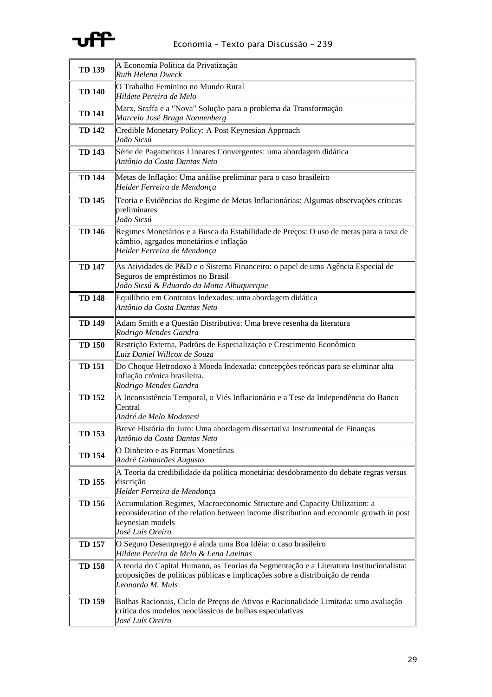

| <b>TD 139</b> | A Economia Política da Privatização<br>Ruth Helena Dweck                                                                                                                                                     |
|---------------|--------------------------------------------------------------------------------------------------------------------------------------------------------------------------------------------------------------|
| <b>TD 140</b> | O Trabalho Feminino no Mundo Rural<br>Hildete Pereira de Melo                                                                                                                                                |
| <b>TD 141</b> | Marx, Sraffa e a "Nova" Solução para o problema da Transformação<br>Marcelo José Braga Nonnenberg                                                                                                            |
| <b>TD 142</b> | Credible Monetary Policy: A Post Keynesian Approach<br>João Sicsú                                                                                                                                            |
| <b>TD 143</b> | Série de Pagamentos Lineares Convergentes: uma abordagem didática<br>Antônio da Costa Dantas Neto                                                                                                            |
| <b>TD 144</b> | Metas de Inflação: Uma análise preliminar para o caso brasileiro<br>Helder Ferreira de Mendonça                                                                                                              |
| <b>TD 145</b> | Teoria e Evidências do Regime de Metas Inflacionárias: Algumas observações críticas<br>preliminares<br>João Sicsú                                                                                            |
| <b>TD 146</b> | Regimes Monetários e a Busca da Estabilidade de Preços: O uso de metas para a taxa de<br>câmbio, agrgados monetários e inflação<br>Helder Ferreira de Mendonça                                               |
| <b>TD 147</b> | As Atividades de P&D e o Sistema Financeiro: o papel de uma Agência Especial de<br>Seguros de empréstimos no Brasil<br>João Sicsú & Eduardo da Motta Albuquerque                                             |
| <b>TD 148</b> | Equilíbrio em Contratos Indexados: uma abordagem didática<br>Antônio da Costa Dantas Neto                                                                                                                    |
| <b>TD 149</b> | Adam Smith e a Questão Distributiva: Uma breve resenha da literatura<br>Rodrigo Mendes Gandra                                                                                                                |
| <b>TD 150</b> | Restrição Externa, Padrões de Especialização e Crescimento Econômico<br>Luiz Daniel Willcox de Souza                                                                                                         |
| <b>TD 151</b> | Do Choque Hetrodoxo à Moeda Indexada: concepções teóricas para se eliminar alta<br>inflação crônica brasileira.<br>Rodrigo Mendes Gandra                                                                     |
| <b>TD 152</b> | A Inconsistência Temporal, o Viés Inflacionário e a Tese da Independência do Banco<br>Central<br>André de Melo Modenesi                                                                                      |
| <b>TD 153</b> | Breve História do Juro: Uma abordagem dissertativa Instrumental de Finanças<br>Antônio da Costa Dantas Neto                                                                                                  |
| <b>TD 154</b> | O Dinheiro e as Formas Monetárias<br>André Guimarães Augusto                                                                                                                                                 |
| <b>TD 155</b> | A Teoria da credibilidade da política monetária: desdobramento do debate regras versus<br>discrição<br>Helder Ferreira de Mendonça                                                                           |
| <b>TD 156</b> | Accumulation Regimes, Macroeconomic Structure and Capacity Utilization: a<br>reconsideration of the relation between income distribution and economic growth in post<br>keynesian models<br>José Luís Oreiro |
| <b>TD 157</b> | O Seguro Desemprego é ainda uma Boa Idéia: o caso brasileiro<br>Hildete Pereira de Melo & Lena Lavinas                                                                                                       |
| <b>TD 158</b> | A teoria do Capital Humano, as Teorias da Segmentação e a Literatura Institucionalista:<br>proposições de políticas públicas e implicações sobre a distribuição de renda<br>Leonardo M. Muls                 |
| <b>TD 159</b> | Bolhas Racionais, Ciclo de Preços de Ativos e Racionalidade Limitada: uma avaliação<br>crítica dos modelos neoclássicos de bolhas especulativas<br>José Luís Oreiro                                          |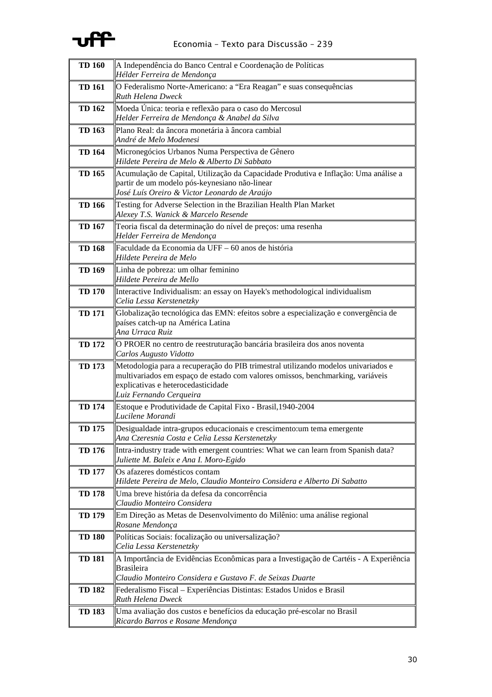

| <b>TD 160</b> | A Independência do Banco Central e Coordenação de Políticas<br>Hélder Ferreira de Mendonça                                                                                                                                           |
|---------------|--------------------------------------------------------------------------------------------------------------------------------------------------------------------------------------------------------------------------------------|
| <b>TD 161</b> | O Federalismo Norte-Americano: a "Era Reagan" e suas consequências<br><b>Ruth Helena Dweck</b>                                                                                                                                       |
| <b>TD 162</b> | Moeda Única: teoria e reflexão para o caso do Mercosul<br>Helder Ferreira de Mendonça & Anabel da Silva                                                                                                                              |
| <b>TD 163</b> | Plano Real: da âncora monetária à âncora cambial<br>André de Melo Modenesi                                                                                                                                                           |
| <b>TD 164</b> | Micronegócios Urbanos Numa Perspectiva de Gênero<br>Hildete Pereira de Melo & Alberto Di Sabbato                                                                                                                                     |
| <b>TD 165</b> | Acumulação de Capital, Utilização da Capacidade Produtiva e Inflação: Uma análise a<br>partir de um modelo pós-keynesiano não-linear<br>José Luís Oreiro & Victor Leonardo de Araújo                                                 |
| <b>TD 166</b> | Testing for Adverse Selection in the Brazilian Health Plan Market<br>Alexey T.S. Wanick & Marcelo Resende                                                                                                                            |
| <b>TD 167</b> | Teoria fiscal da determinação do nível de preços: uma resenha<br>Helder Ferreira de Mendonça                                                                                                                                         |
| <b>TD 168</b> | Faculdade da Economia da UFF – 60 anos de história<br>Hildete Pereira de Melo                                                                                                                                                        |
| <b>TD 169</b> | Linha de pobreza: um olhar feminino<br>Hildete Pereira de Mello                                                                                                                                                                      |
| <b>TD 170</b> | Interactive Individualism: an essay on Hayek's methodological individualism<br>Celia Lessa Kerstenetzky                                                                                                                              |
| <b>TD 171</b> | Globalização tecnológica das EMN: efeitos sobre a especialização e convergência de<br>países catch-up na América Latina<br>Ana Urraca Ruiz                                                                                           |
| <b>TD 172</b> | O PROER no centro de reestruturação bancária brasileira dos anos noventa<br>Carlos Augusto Vidotto                                                                                                                                   |
| <b>TD 173</b> | Metodologia para a recuperação do PIB trimestral utilizando modelos univariados e<br>multivariados em espaço de estado com valores omissos, benchmarking, variáveis<br>explicativas e heterocedasticidade<br>Luiz Fernando Cerqueira |
| <b>TD 174</b> | Estoque e Produtividade de Capital Fixo - Brasil, 1940-2004<br>Lucilene Morandi                                                                                                                                                      |
| <b>TD 175</b> | Desigualdade intra-grupos educacionais e crescimento: um tema emergente<br>Ana Czeresnia Costa e Celia Lessa Kerstenetzky                                                                                                            |
| <b>TD 176</b> | Intra-industry trade with emergent countries: What we can learn from Spanish data?<br>Juliette M. Baleix e Ana I. Moro-Egido                                                                                                         |
| <b>TD 177</b> | Os afazeres domésticos contam<br>Hildete Pereira de Melo, Claudio Monteiro Considera e Alberto Di Sabatto                                                                                                                            |
| <b>TD 178</b> | Uma breve história da defesa da concorrência<br>Claudio Monteiro Considera                                                                                                                                                           |
| <b>TD 179</b> | Em Direção as Metas de Desenvolvimento do Milênio: uma análise regional<br>Rosane Mendonça                                                                                                                                           |
| <b>TD 180</b> | Políticas Sociais: focalização ou universalização?<br>Celia Lessa Kerstenetzky                                                                                                                                                       |
| <b>TD 181</b> | A Importância de Evidências Econômicas para a Investigação de Cartéis - A Experiência<br><b>Brasileira</b><br>Claudio Monteiro Considera e Gustavo F. de Seixas Duarte                                                               |
| <b>TD 182</b> | Federalismo Fiscal – Experiências Distintas: Estados Unidos e Brasil<br><b>Ruth Helena Dweck</b>                                                                                                                                     |
| <b>TD 183</b> | Uma avaliação dos custos e benefícios da educação pré-escolar no Brasil<br>Ricardo Barros e Rosane Mendonça                                                                                                                          |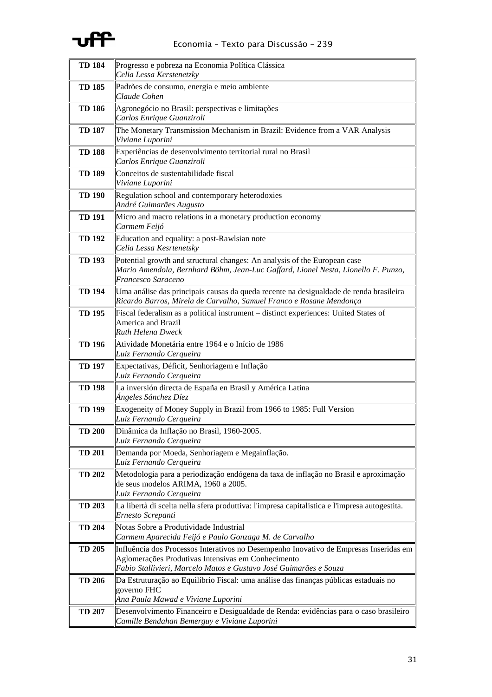

| <b>TD 184</b> | Progresso e pobreza na Economia Política Clássica<br>Celia Lessa Kerstenetzky                                                                                                                                    |
|---------------|------------------------------------------------------------------------------------------------------------------------------------------------------------------------------------------------------------------|
| <b>TD 185</b> | Padrões de consumo, energia e meio ambiente<br>Claude Cohen                                                                                                                                                      |
| <b>TD 186</b> | Agronegócio no Brasil: perspectivas e limitações<br>Carlos Enrique Guanziroli                                                                                                                                    |
| <b>TD 187</b> | The Monetary Transmission Mechanism in Brazil: Evidence from a VAR Analysis<br>Viviane Luporini                                                                                                                  |
| <b>TD 188</b> | Experiências de desenvolvimento territorial rural no Brasil<br>Carlos Enrique Guanziroli                                                                                                                         |
| <b>TD 189</b> | Conceitos de sustentabilidade fiscal<br>Viviane Luporini                                                                                                                                                         |
| <b>TD 190</b> | Regulation school and contemporary heterodoxies<br>André Guimarães Augusto                                                                                                                                       |
| <b>TD 191</b> | Micro and macro relations in a monetary production economy<br>Carmem Feijó                                                                                                                                       |
| <b>TD 192</b> | Education and equality: a post-Rawlsian note<br>Celia Lessa Kesrtenetsky                                                                                                                                         |
| <b>TD 193</b> | Potential growth and structural changes: An analysis of the European case<br>Mario Amendola, Bernhard Böhm, Jean-Luc Gaffard, Lionel Nesta, Lionello F. Punzo,<br>Francesco Saraceno                             |
| <b>TD 194</b> | Uma análise das principais causas da queda recente na desigualdade de renda brasileira<br>Ricardo Barros, Mirela de Carvalho, Samuel Franco e Rosane Mendonça                                                    |
| <b>TD 195</b> | Fiscal federalism as a political instrument - distinct experiences: United States of<br>America and Brazil<br>Ruth Helena Dweck                                                                                  |
| <b>TD 196</b> | Atividade Monetária entre 1964 e o Início de 1986<br>Luiz Fernando Cerqueira                                                                                                                                     |
| <b>TD 197</b> | Expectativas, Déficit, Senhoriagem e Inflação<br>Luiz Fernando Cerqueira                                                                                                                                         |
| <b>TD 198</b> | La inversión directa de España en Brasil y América Latina<br>Ángeles Sánchez Díez                                                                                                                                |
| <b>TD 199</b> | Exogeneity of Money Supply in Brazil from 1966 to 1985: Full Version<br>Luiz Fernando Cerqueira                                                                                                                  |
| TD 200        | ∥Dinâmica da Inflação no Brasil, 1960-2005.<br>Luiz Fernando Cerqueira                                                                                                                                           |
| <b>TD 201</b> | Demanda por Moeda, Senhoriagem e Megainflação.<br>Luiz Fernando Cerqueira                                                                                                                                        |
| <b>TD 202</b> | Metodologia para a periodização endógena da taxa de inflação no Brasil e aproximação<br>de seus modelos ARIMA, 1960 a 2005.<br>Luiz Fernando Cerqueira                                                           |
| <b>TD 203</b> | La libertà di scelta nella sfera produttiva: l'impresa capitalistica e l'impresa autogestita.<br>Ernesto Screpanti                                                                                               |
| <b>TD 204</b> | Notas Sobre a Produtividade Industrial<br>Carmem Aparecida Feijó e Paulo Gonzaga M. de Carvalho                                                                                                                  |
| <b>TD 205</b> | Influência dos Processos Interativos no Desempenho Inovativo de Empresas Inseridas em<br>Aglomerações Produtivas Intensivas em Conhecimento<br>Fabio Stallivieri, Marcelo Matos e Gustavo José Guimarães e Souza |
| <b>TD 206</b> | Da Estruturação ao Equilíbrio Fiscal: uma análise das finanças públicas estaduais no<br>governo FHC<br>Ana Paula Mawad e Viviane Luporini                                                                        |
| <b>TD 207</b> | Desenvolvimento Financeiro e Desigualdade de Renda: evidências para o caso brasileiro<br>Camille Bendahan Bemerguy e Viviane Luporini                                                                            |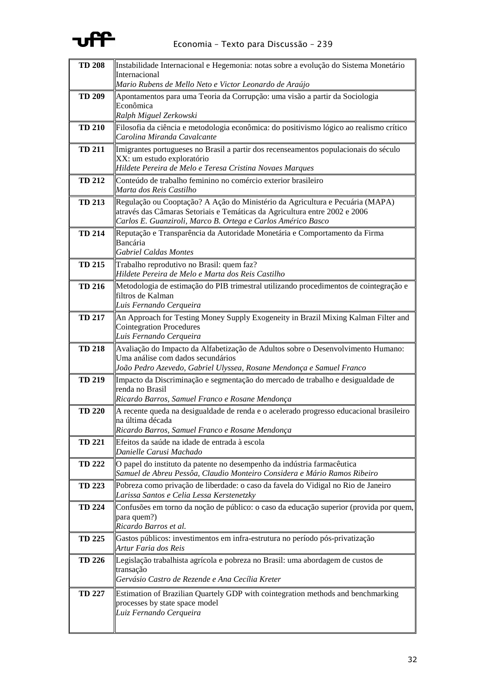

| <b>TD 208</b> | Instabilidade Internacional e Hegemonia: notas sobre a evolução do Sistema Monetário                                                                                                                                        |
|---------------|-----------------------------------------------------------------------------------------------------------------------------------------------------------------------------------------------------------------------------|
|               | Internacional<br>Mario Rubens de Mello Neto e Victor Leonardo de Araújo                                                                                                                                                     |
| <b>TD 209</b> | Apontamentos para uma Teoria da Corrupção: uma visão a partir da Sociologia<br>Econômica                                                                                                                                    |
|               | Ralph Miguel Zerkowski                                                                                                                                                                                                      |
| <b>TD 210</b> | Filosofia da ciência e metodologia econômica: do positivismo lógico ao realismo crítico<br>Carolina Miranda Cavalcante                                                                                                      |
| <b>TD 211</b> | Imigrantes portugueses no Brasil a partir dos recenseamentos populacionais do século<br>XX: um estudo exploratório<br>Hildete Pereira de Melo e Teresa Cristina Novaes Marques                                              |
| <b>TD 212</b> | Conteúdo de trabalho feminino no comércio exterior brasileiro<br>Marta dos Reis Castilho                                                                                                                                    |
| <b>TD 213</b> | Regulação ou Cooptação? A Ação do Ministério da Agricultura e Pecuária (MAPA)<br>através das Câmaras Setoriais e Temáticas da Agricultura entre 2002 e 2006<br>Carlos E. Guanziroli, Marco B. Ortega e Carlos Américo Basco |
| <b>TD 214</b> | Reputação e Transparência da Autoridade Monetária e Comportamento da Firma<br>Bancária<br><b>Gabriel Caldas Montes</b>                                                                                                      |
| <b>TD 215</b> | Trabalho reprodutivo no Brasil: quem faz?<br>Hildete Pereira de Melo e Marta dos Reis Castilho                                                                                                                              |
| <b>TD 216</b> | Metodologia de estimação do PIB trimestral utilizando procedimentos de cointegração e<br>filtros de Kalman<br>Luis Fernando Cerqueira                                                                                       |
| <b>TD 217</b> | An Approach for Testing Money Supply Exogeneity in Brazil Mixing Kalman Filter and<br><b>Cointegration Procedures</b><br>Luis Fernando Cerqueira                                                                            |
| <b>TD 218</b> | Avaliação do Impacto da Alfabetização de Adultos sobre o Desenvolvimento Humano:<br>Uma análise com dados secundários<br>João Pedro Azevedo, Gabriel Ulyssea, Rosane Mendonça e Samuel Franco                               |
| <b>TD 219</b> | Impacto da Discriminação e segmentação do mercado de trabalho e desigualdade de<br>renda no Brasil<br>Ricardo Barros, Samuel Franco e Rosane Mendonça                                                                       |
| <b>TD 220</b> | A recente queda na desigualdade de renda e o acelerado progresso educacional brasileiro<br>na última década<br>Ricardo Barros, Samuel Franco e Rosane Mendonça                                                              |
| <b>TD 221</b> | Efeitos da saúde na idade de entrada à escola<br>Danielle Carusi Machado                                                                                                                                                    |
| <b>TD 222</b> | O papel do instituto da patente no desempenho da indústria farmacêutica<br>Samuel de Abreu Pessôa, Claudio Monteiro Considera e Mário Ramos Ribeiro                                                                         |
| <b>TD 223</b> | Pobreza como privação de liberdade: o caso da favela do Vidigal no Rio de Janeiro<br>Larissa Santos e Celia Lessa Kerstenetzky                                                                                              |
| <b>TD 224</b> | Confusões em torno da noção de público: o caso da educação superior (provida por quem,<br>para quem?)<br>Ricardo Barros et al.                                                                                              |
| <b>TD 225</b> | Gastos públicos: investimentos em infra-estrutura no período pós-privatização<br>Artur Faria dos Reis                                                                                                                       |
| <b>TD 226</b> | Legislação trabalhista agrícola e pobreza no Brasil: uma abordagem de custos de<br>transação<br>Gervásio Castro de Rezende e Ana Cecília Kreter                                                                             |
| <b>TD 227</b> | <b>Estimation of Brazilian Quartely GDP</b> with cointegration methods and benchmarking<br>processes by state space model<br>Luiz Fernando Cerqueira                                                                        |